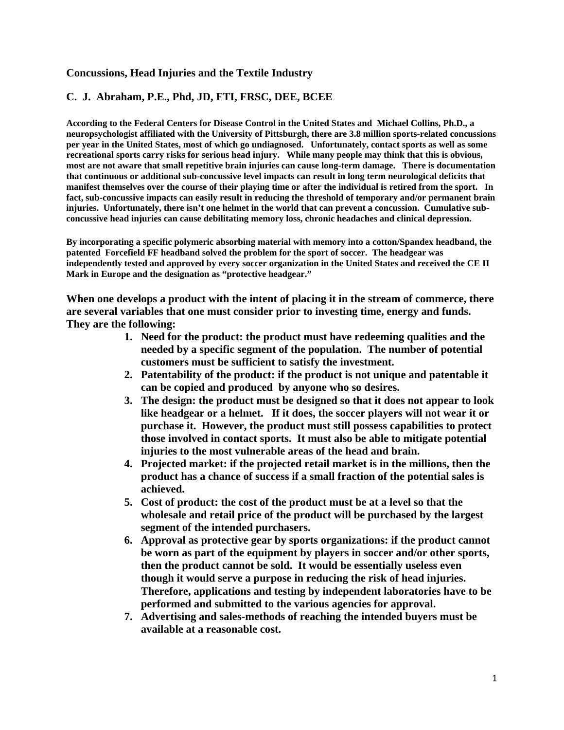# **Concussions, Head Injuries and the Textile Industry**

# **C. J. Abraham, P.E., Phd, JD, FTI, FRSC, DEE, BCEE**

**According to the Federal Centers for Disease Control in the United States and Michael Collins, Ph.D., a neuropsychologist affiliated with the University of Pittsburgh, there are 3.8 million sports-related concussions per year in the United States, most of which go undiagnosed. Unfortunately, contact sports as well as some recreational sports carry risks for serious head injury. While many people may think that this is obvious, most are not aware that small repetitive brain injuries can cause long-term damage. There is documentation that continuous or additional sub-concussive level impacts can result in long term neurological deficits that manifest themselves over the course of their playing time or after the individual is retired from the sport. In fact, sub-concussive impacts can easily result in reducing the threshold of temporary and/or permanent brain injuries. Unfortunately, there isn't one helmet in the world that can prevent a concussion. Cumulative subconcussive head injuries can cause debilitating memory loss, chronic headaches and clinical depression.** 

**By incorporating a specific polymeric absorbing material with memory into a cotton/Spandex headband, the patented Forcefield FF headband solved the problem for the sport of soccer. The headgear was independently tested and approved by every soccer organization in the United States and received the CE II Mark in Europe and the designation as "protective headgear."** 

**When one develops a product with the intent of placing it in the stream of commerce, there are several variables that one must consider prior to investing time, energy and funds. They are the following:** 

- **1. Need for the product: the product must have redeeming qualities and the needed by a specific segment of the population. The number of potential customers must be sufficient to satisfy the investment.**
- **2. Patentability of the product: if the product is not unique and patentable it can be copied and produced by anyone who so desires.**
- **3. The design: the product must be designed so that it does not appear to look like headgear or a helmet. If it does, the soccer players will not wear it or purchase it. However, the product must still possess capabilities to protect those involved in contact sports. It must also be able to mitigate potential injuries to the most vulnerable areas of the head and brain.**
- **4. Projected market: if the projected retail market is in the millions, then the product has a chance of success if a small fraction of the potential sales is achieved.**
- **5. Cost of product: the cost of the product must be at a level so that the wholesale and retail price of the product will be purchased by the largest segment of the intended purchasers.**
- **6. Approval as protective gear by sports organizations: if the product cannot be worn as part of the equipment by players in soccer and/or other sports, then the product cannot be sold. It would be essentially useless even though it would serve a purpose in reducing the risk of head injuries. Therefore, applications and testing by independent laboratories have to be performed and submitted to the various agencies for approval.**
- **7. Advertising and sales-methods of reaching the intended buyers must be available at a reasonable cost.**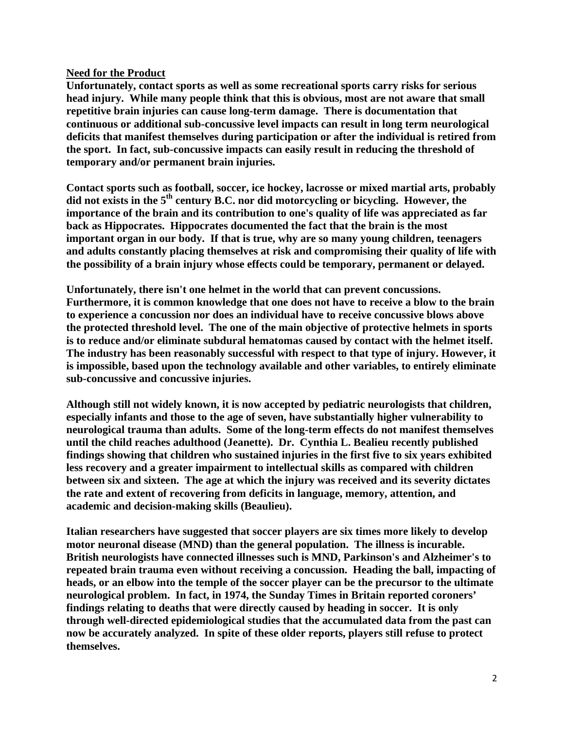## **Need for the Product**

**Unfortunately, contact sports as well as some recreational sports carry risks for serious head injury. While many people think that this is obvious, most are not aware that small repetitive brain injuries can cause long-term damage. There is documentation that continuous or additional sub-concussive level impacts can result in long term neurological deficits that manifest themselves during participation or after the individual is retired from the sport. In fact, sub-concussive impacts can easily result in reducing the threshold of temporary and/or permanent brain injuries.** 

**Contact sports such as football, soccer, ice hockey, lacrosse or mixed martial arts, probably did not exists in the 5th century B.C. nor did motorcycling or bicycling. However, the importance of the brain and its contribution to one's quality of life was appreciated as far back as Hippocrates. Hippocrates documented the fact that the brain is the most important organ in our body. If that is true, why are so many young children, teenagers and adults constantly placing themselves at risk and compromising their quality of life with the possibility of a brain injury whose effects could be temporary, permanent or delayed.** 

**Unfortunately, there isn't one helmet in the world that can prevent concussions. Furthermore, it is common knowledge that one does not have to receive a blow to the brain to experience a concussion nor does an individual have to receive concussive blows above the protected threshold level. The one of the main objective of protective helmets in sports is to reduce and/or eliminate subdural hematomas caused by contact with the helmet itself. The industry has been reasonably successful with respect to that type of injury. However, it is impossible, based upon the technology available and other variables, to entirely eliminate sub-concussive and concussive injuries.** 

**Although still not widely known, it is now accepted by pediatric neurologists that children, especially infants and those to the age of seven, have substantially higher vulnerability to neurological trauma than adults. Some of the long-term effects do not manifest themselves until the child reaches adulthood (Jeanette). Dr. Cynthia L. Bealieu recently published findings showing that children who sustained injuries in the first five to six years exhibited less recovery and a greater impairment to intellectual skills as compared with children between six and sixteen. The age at which the injury was received and its severity dictates the rate and extent of recovering from deficits in language, memory, attention, and academic and decision-making skills (Beaulieu).** 

**Italian researchers have suggested that soccer players are six times more likely to develop motor neuronal disease (MND) than the general population. The illness is incurable. British neurologists have connected illnesses such is MND, Parkinson's and Alzheimer's to repeated brain trauma even without receiving a concussion. Heading the ball, impacting of heads, or an elbow into the temple of the soccer player can be the precursor to the ultimate neurological problem. In fact, in 1974, the Sunday Times in Britain reported coroners' findings relating to deaths that were directly caused by heading in soccer. It is only through well-directed epidemiological studies that the accumulated data from the past can now be accurately analyzed. In spite of these older reports, players still refuse to protect themselves.**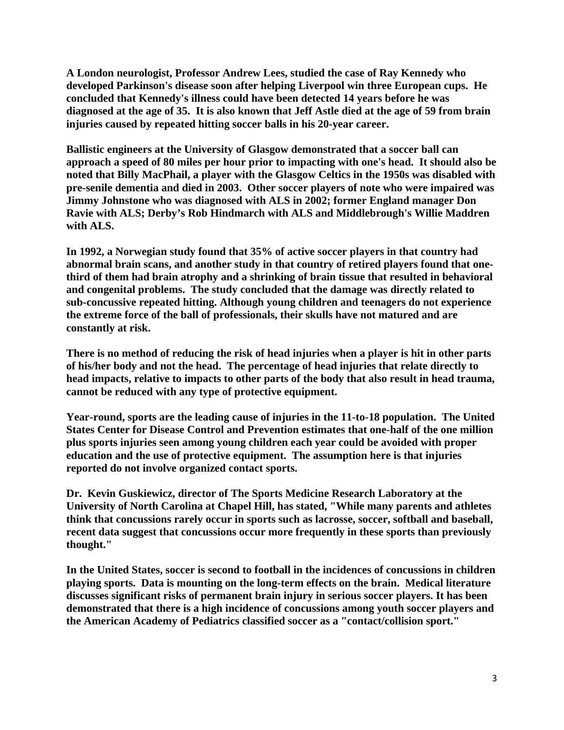**A London neurologist, Professor Andrew Lees, studied the case of Ray Kennedy who developed Parkinson's disease soon after helping Liverpool win three European cups. He concluded that Kennedy's illness could have been detected 14 years before he was diagnosed at the age of 35. It is also known that Jeff Astle died at the age of 59 from brain injuries caused by repeated hitting soccer balls in his 20-year career.** 

**Ballistic engineers at the University of Glasgow demonstrated that a soccer ball can approach a speed of 80 miles per hour prior to impacting with one's head. It should also be noted that Billy MacPhail, a player with the Glasgow Celtics in the 1950s was disabled with pre-senile dementia and died in 2003. Other soccer players of note who were impaired was Jimmy Johnstone who was diagnosed with ALS in 2002; former England manager Don Ravie with ALS; Derby's Rob Hindmarch with ALS and Middlebrough's Willie Maddren with ALS.** 

**In 1992, a Norwegian study found that 35% of active soccer players in that country had abnormal brain scans, and another study in that country of retired players found that onethird of them had brain atrophy and a shrinking of brain tissue that resulted in behavioral and congenital problems. The study concluded that the damage was directly related to sub-concussive repeated hitting. Although young children and teenagers do not experience the extreme force of the ball of professionals, their skulls have not matured and are constantly at risk.** 

**There is no method of reducing the risk of head injuries when a player is hit in other parts of his/her body and not the head. The percentage of head injuries that relate directly to head impacts, relative to impacts to other parts of the body that also result in head trauma, cannot be reduced with any type of protective equipment.** 

**Year-round, sports are the leading cause of injuries in the 11-to-18 population. The United States Center for Disease Control and Prevention estimates that one-half of the one million plus sports injuries seen among young children each year could be avoided with proper education and the use of protective equipment. The assumption here is that injuries reported do not involve organized contact sports.** 

**Dr. Kevin Guskiewicz, director of The Sports Medicine Research Laboratory at the University of North Carolina at Chapel Hill, has stated, "While many parents and athletes think that concussions rarely occur in sports such as lacrosse, soccer, softball and baseball, recent data suggest that concussions occur more frequently in these sports than previously thought."** 

**In the United States, soccer is second to football in the incidences of concussions in children playing sports. Data is mounting on the long-term effects on the brain. Medical literature discusses significant risks of permanent brain injury in serious soccer players. It has been demonstrated that there is a high incidence of concussions among youth soccer players and the American Academy of Pediatrics classified soccer as a "contact/collision sport."**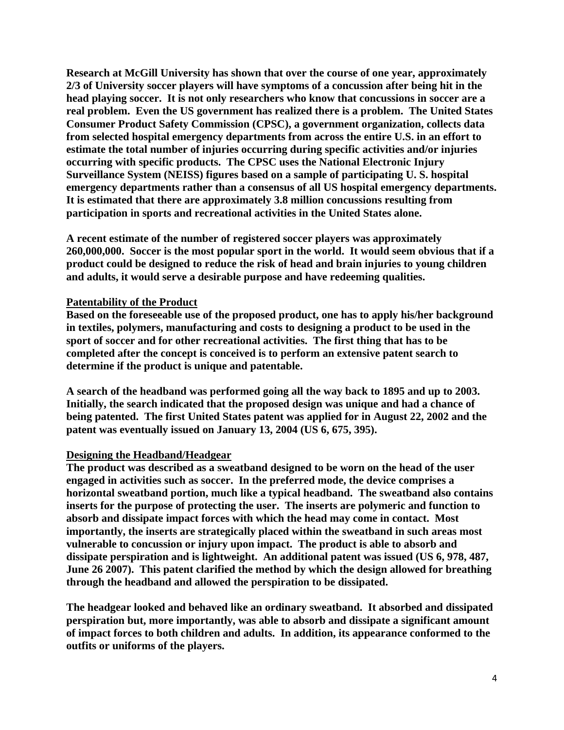**Research at McGill University has shown that over the course of one year, approximately 2/3 of University soccer players will have symptoms of a concussion after being hit in the head playing soccer. It is not only researchers who know that concussions in soccer are a real problem. Even the US government has realized there is a problem. The United States Consumer Product Safety Commission (CPSC), a government organization, collects data from selected hospital emergency departments from across the entire U.S. in an effort to estimate the total number of injuries occurring during specific activities and/or injuries occurring with specific products. The CPSC uses the National Electronic Injury Surveillance System (NEISS) figures based on a sample of participating U. S. hospital emergency departments rather than a consensus of all US hospital emergency departments. It is estimated that there are approximately 3.8 million concussions resulting from participation in sports and recreational activities in the United States alone.** 

**A recent estimate of the number of registered soccer players was approximately 260,000,000. Soccer is the most popular sport in the world. It would seem obvious that if a product could be designed to reduce the risk of head and brain injuries to young children and adults, it would serve a desirable purpose and have redeeming qualities.** 

### **Patentability of the Product**

**Based on the foreseeable use of the proposed product, one has to apply his/her background in textiles, polymers, manufacturing and costs to designing a product to be used in the sport of soccer and for other recreational activities. The first thing that has to be completed after the concept is conceived is to perform an extensive patent search to determine if the product is unique and patentable.** 

**A search of the headband was performed going all the way back to 1895 and up to 2003. Initially, the search indicated that the proposed design was unique and had a chance of being patented. The first United States patent was applied for in August 22, 2002 and the patent was eventually issued on January 13, 2004 (US 6, 675, 395).** 

#### **Designing the Headband/Headgear**

**The product was described as a sweatband designed to be worn on the head of the user engaged in activities such as soccer. In the preferred mode, the device comprises a horizontal sweatband portion, much like a typical headband. The sweatband also contains inserts for the purpose of protecting the user. The inserts are polymeric and function to absorb and dissipate impact forces with which the head may come in contact. Most importantly, the inserts are strategically placed within the sweatband in such areas most vulnerable to concussion or injury upon impact. The product is able to absorb and dissipate perspiration and is lightweight. An additional patent was issued (US 6, 978, 487, June 26 2007). This patent clarified the method by which the design allowed for breathing through the headband and allowed the perspiration to be dissipated.** 

**The headgear looked and behaved like an ordinary sweatband. It absorbed and dissipated perspiration but, more importantly, was able to absorb and dissipate a significant amount of impact forces to both children and adults. In addition, its appearance conformed to the outfits or uniforms of the players.**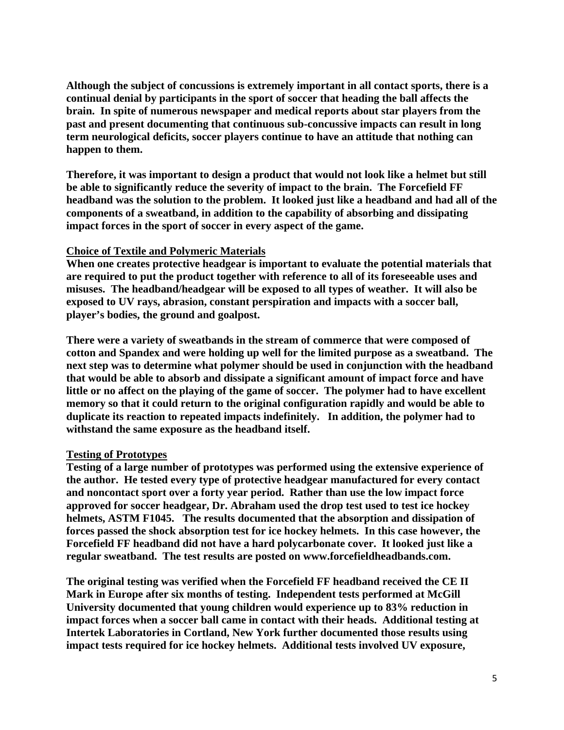**Although the subject of concussions is extremely important in all contact sports, there is a continual denial by participants in the sport of soccer that heading the ball affects the brain. In spite of numerous newspaper and medical reports about star players from the past and present documenting that continuous sub-concussive impacts can result in long term neurological deficits, soccer players continue to have an attitude that nothing can happen to them.** 

**Therefore, it was important to design a product that would not look like a helmet but still be able to significantly reduce the severity of impact to the brain. The Forcefield FF headband was the solution to the problem. It looked just like a headband and had all of the components of a sweatband, in addition to the capability of absorbing and dissipating impact forces in the sport of soccer in every aspect of the game.** 

# **Choice of Textile and Polymeric Materials**

**When one creates protective headgear is important to evaluate the potential materials that are required to put the product together with reference to all of its foreseeable uses and misuses. The headband/headgear will be exposed to all types of weather. It will also be exposed to UV rays, abrasion, constant perspiration and impacts with a soccer ball, player's bodies, the ground and goalpost.** 

**There were a variety of sweatbands in the stream of commerce that were composed of cotton and Spandex and were holding up well for the limited purpose as a sweatband. The next step was to determine what polymer should be used in conjunction with the headband that would be able to absorb and dissipate a significant amount of impact force and have little or no affect on the playing of the game of soccer. The polymer had to have excellent memory so that it could return to the original configuration rapidly and would be able to duplicate its reaction to repeated impacts indefinitely. In addition, the polymer had to withstand the same exposure as the headband itself.** 

#### **Testing of Prototypes**

**Testing of a large number of prototypes was performed using the extensive experience of the author. He tested every type of protective headgear manufactured for every contact and noncontact sport over a forty year period. Rather than use the low impact force approved for soccer headgear, Dr. Abraham used the drop test used to test ice hockey helmets, ASTM F1045. The results documented that the absorption and dissipation of forces passed the shock absorption test for ice hockey helmets. In this case however, the Forcefield FF headband did not have a hard polycarbonate cover. It looked just like a regular sweatband. The test results are posted on www.forcefieldheadbands.com.** 

**The original testing was verified when the Forcefield FF headband received the CE II Mark in Europe after six months of testing. Independent tests performed at McGill University documented that young children would experience up to 83% reduction in impact forces when a soccer ball came in contact with their heads. Additional testing at Intertek Laboratories in Cortland, New York further documented those results using impact tests required for ice hockey helmets. Additional tests involved UV exposure,**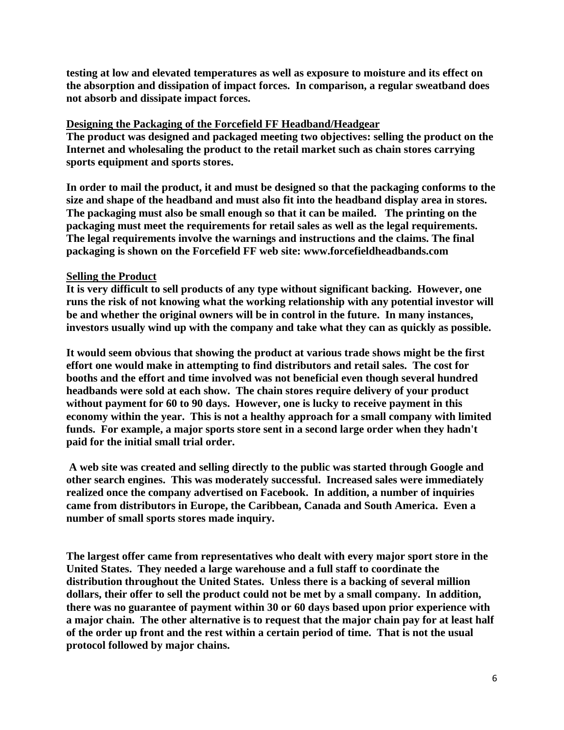**testing at low and elevated temperatures as well as exposure to moisture and its effect on the absorption and dissipation of impact forces. In comparison, a regular sweatband does not absorb and dissipate impact forces.** 

## **Designing the Packaging of the Forcefield FF Headband/Headgear**

**The product was designed and packaged meeting two objectives: selling the product on the Internet and wholesaling the product to the retail market such as chain stores carrying sports equipment and sports stores.** 

**In order to mail the product, it and must be designed so that the packaging conforms to the size and shape of the headband and must also fit into the headband display area in stores. The packaging must also be small enough so that it can be mailed. The printing on the packaging must meet the requirements for retail sales as well as the legal requirements. The legal requirements involve the warnings and instructions and the claims. The final packaging is shown on the Forcefield FF web site: www.forcefieldheadbands.com** 

# **Selling the Product**

**It is very difficult to sell products of any type without significant backing. However, one runs the risk of not knowing what the working relationship with any potential investor will be and whether the original owners will be in control in the future. In many instances, investors usually wind up with the company and take what they can as quickly as possible.** 

**It would seem obvious that showing the product at various trade shows might be the first effort one would make in attempting to find distributors and retail sales. The cost for booths and the effort and time involved was not beneficial even though several hundred headbands were sold at each show. The chain stores require delivery of your product without payment for 60 to 90 days. However, one is lucky to receive payment in this economy within the year. This is not a healthy approach for a small company with limited funds. For example, a major sports store sent in a second large order when they hadn't paid for the initial small trial order.** 

 **A web site was created and selling directly to the public was started through Google and other search engines. This was moderately successful. Increased sales were immediately realized once the company advertised on Facebook. In addition, a number of inquiries came from distributors in Europe, the Caribbean, Canada and South America. Even a number of small sports stores made inquiry.** 

**The largest offer came from representatives who dealt with every major sport store in the United States. They needed a large warehouse and a full staff to coordinate the distribution throughout the United States. Unless there is a backing of several million dollars, their offer to sell the product could not be met by a small company. In addition, there was no guarantee of payment within 30 or 60 days based upon prior experience with a major chain. The other alternative is to request that the major chain pay for at least half of the order up front and the rest within a certain period of time. That is not the usual protocol followed by major chains.**